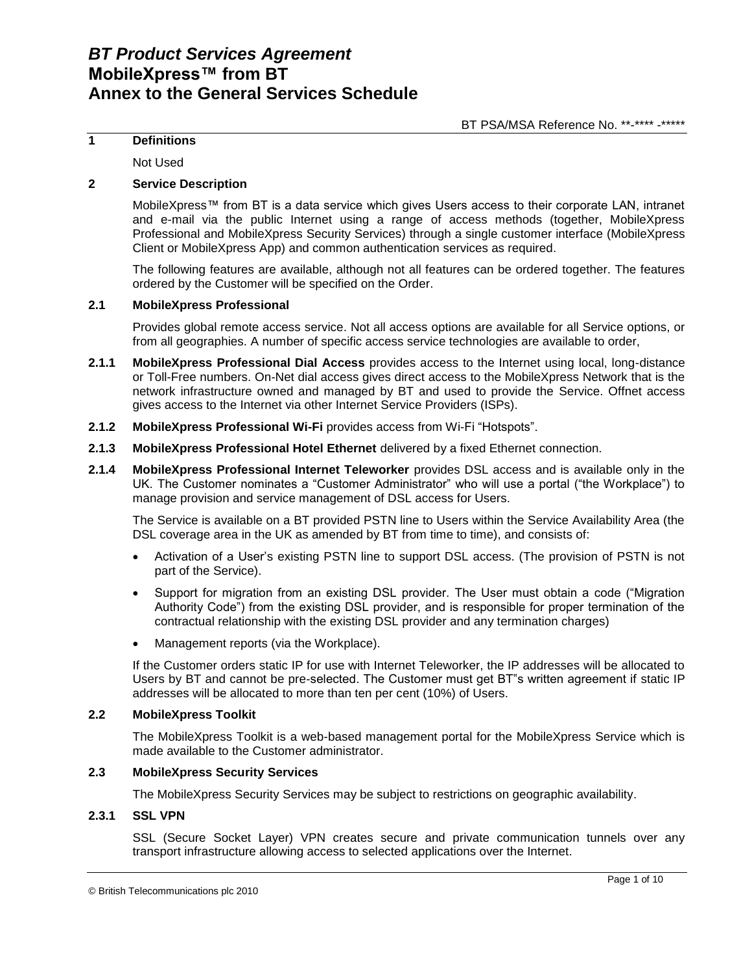### **1 Definitions**

Not Used

## **2 Service Description**

MobileXpress™ from BT is a data service which gives Users access to their corporate LAN, intranet and e-mail via the public Internet using a range of access methods (together, MobileXpress Professional and MobileXpress Security Services) through a single customer interface (MobileXpress Client or MobileXpress App) and common authentication services as required.

The following features are available, although not all features can be ordered together. The features ordered by the Customer will be specified on the Order.

## **2.1 MobileXpress Professional**

Provides global remote access service. Not all access options are available for all Service options, or from all geographies. A number of specific access service technologies are available to order,

- **2.1.1 MobileXpress Professional Dial Access** provides access to the Internet using local, long-distance or Toll-Free numbers. On-Net dial access gives direct access to the MobileXpress Network that is the network infrastructure owned and managed by BT and used to provide the Service. Offnet access gives access to the Internet via other Internet Service Providers (ISPs).
- **2.1.2 MobileXpress Professional Wi-Fi** provides access from Wi-Fi "Hotspots".
- **2.1.3 MobileXpress Professional Hotel Ethernet** delivered by a fixed Ethernet connection.
- **2.1.4 MobileXpress Professional Internet Teleworker** provides DSL access and is available only in the UK. The Customer nominates a "Customer Administrator" who will use a portal ("the Workplace") to manage provision and service management of DSL access for Users.

The Service is available on a BT provided PSTN line to Users within the Service Availability Area (the DSL coverage area in the UK as amended by BT from time to time), and consists of:

- Activation of a User's existing PSTN line to support DSL access. (The provision of PSTN is not part of the Service).
- Support for migration from an existing DSL provider. The User must obtain a code ("Migration Authority Code") from the existing DSL provider, and is responsible for proper termination of the contractual relationship with the existing DSL provider and any termination charges)
- Management reports (via the Workplace).

If the Customer orders static IP for use with Internet Teleworker, the IP addresses will be allocated to Users by BT and cannot be pre-selected. The Customer must get BT"s written agreement if static IP addresses will be allocated to more than ten per cent (10%) of Users.

#### **2.2 MobileXpress Toolkit**

The MobileXpress Toolkit is a web-based management portal for the MobileXpress Service which is made available to the Customer administrator.

### **2.3 MobileXpress Security Services**

The MobileXpress Security Services may be subject to restrictions on geographic availability.

#### **2.3.1 SSL VPN**

SSL (Secure Socket Layer) VPN creates secure and private communication tunnels over any transport infrastructure allowing access to selected applications over the Internet.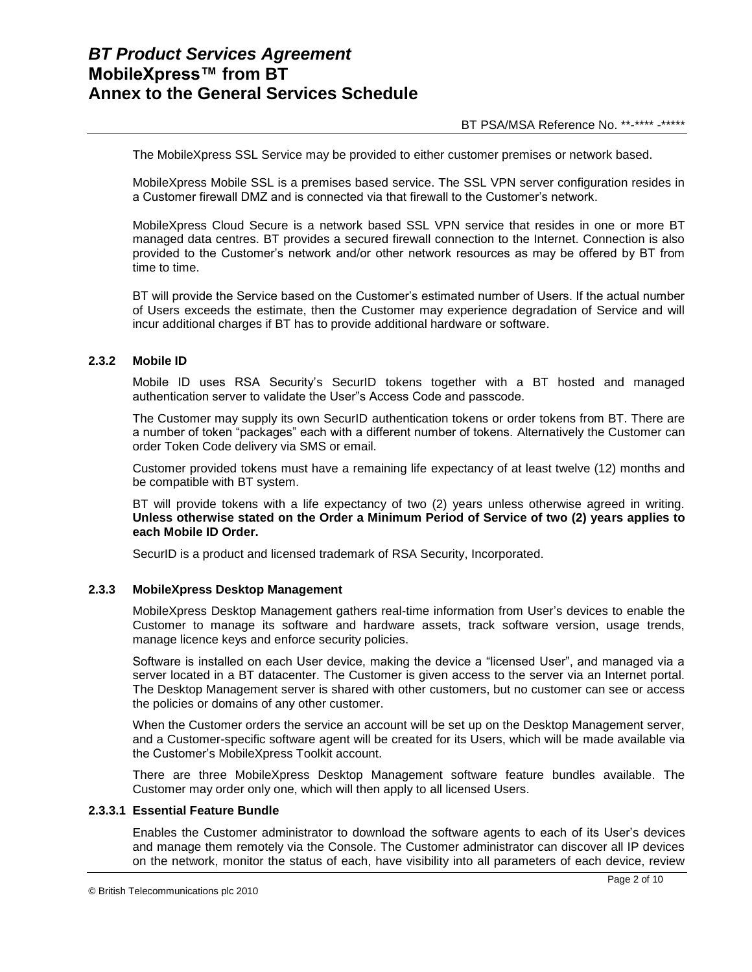The MobileXpress SSL Service may be provided to either customer premises or network based.

MobileXpress Mobile SSL is a premises based service. The SSL VPN server configuration resides in a Customer firewall DMZ and is connected via that firewall to the Customer's network.

MobileXpress Cloud Secure is a network based SSL VPN service that resides in one or more BT managed data centres. BT provides a secured firewall connection to the Internet. Connection is also provided to the Customer's network and/or other network resources as may be offered by BT from time to time.

BT will provide the Service based on the Customer's estimated number of Users. If the actual number of Users exceeds the estimate, then the Customer may experience degradation of Service and will incur additional charges if BT has to provide additional hardware or software.

### **2.3.2 Mobile ID**

Mobile ID uses RSA Security's SecurID tokens together with a BT hosted and managed authentication server to validate the User"s Access Code and passcode.

The Customer may supply its own SecurID authentication tokens or order tokens from BT. There are a number of token "packages" each with a different number of tokens. Alternatively the Customer can order Token Code delivery via SMS or email.

Customer provided tokens must have a remaining life expectancy of at least twelve (12) months and be compatible with BT system.

BT will provide tokens with a life expectancy of two (2) years unless otherwise agreed in writing. **Unless otherwise stated on the Order a Minimum Period of Service of two (2) years applies to each Mobile ID Order.** 

SecurID is a product and licensed trademark of RSA Security, Incorporated.

### **2.3.3 MobileXpress Desktop Management**

MobileXpress Desktop Management gathers real-time information from User's devices to enable the Customer to manage its software and hardware assets, track software version, usage trends, manage licence keys and enforce security policies.

Software is installed on each User device, making the device a "licensed User", and managed via a server located in a BT datacenter. The Customer is given access to the server via an Internet portal. The Desktop Management server is shared with other customers, but no customer can see or access the policies or domains of any other customer.

When the Customer orders the service an account will be set up on the Desktop Management server, and a Customer-specific software agent will be created for its Users, which will be made available via the Customer's MobileXpress Toolkit account.

There are three MobileXpress Desktop Management software feature bundles available. The Customer may order only one, which will then apply to all licensed Users.

#### **2.3.3.1 Essential Feature Bundle**

Enables the Customer administrator to download the software agents to each of its User's devices and manage them remotely via the Console. The Customer administrator can discover all IP devices on the network, monitor the status of each, have visibility into all parameters of each device, review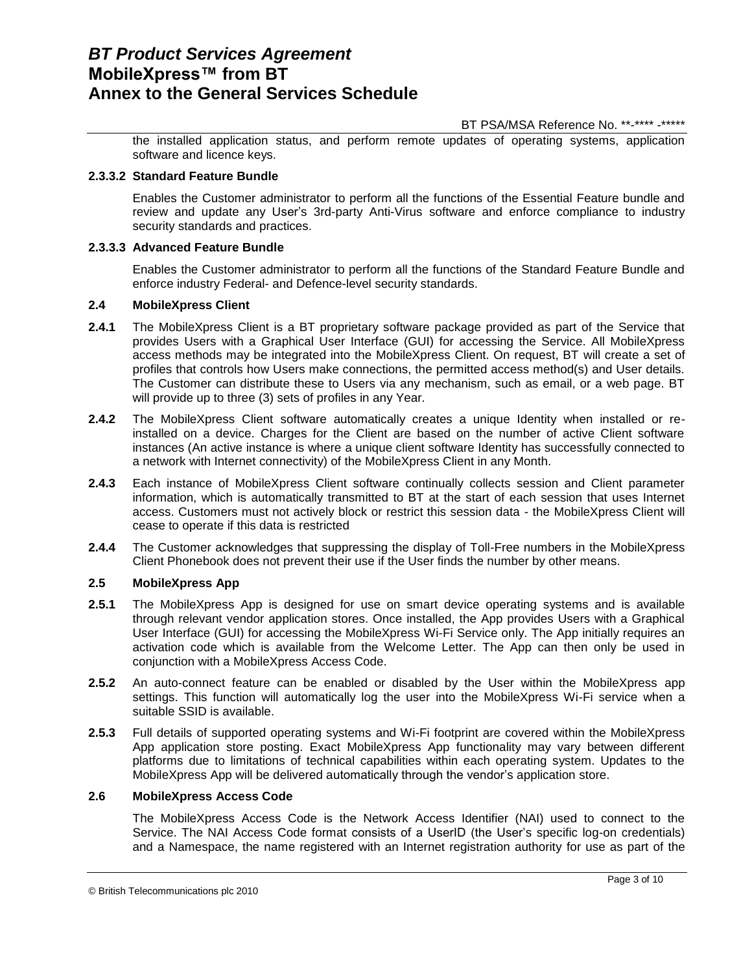BT PSA/MSA Reference No. \*\*-\*\*\*\* -\*\*\*\*\*

the installed application status, and perform remote updates of operating systems, application software and licence keys.

## **2.3.3.2 Standard Feature Bundle**

Enables the Customer administrator to perform all the functions of the Essential Feature bundle and review and update any User's 3rd-party Anti-Virus software and enforce compliance to industry security standards and practices.

### **2.3.3.3 Advanced Feature Bundle**

Enables the Customer administrator to perform all the functions of the Standard Feature Bundle and enforce industry Federal- and Defence-level security standards.

### **2.4 MobileXpress Client**

- **2.4.1** The MobileXpress Client is a BT proprietary software package provided as part of the Service that provides Users with a Graphical User Interface (GUI) for accessing the Service. All MobileXpress access methods may be integrated into the MobileXpress Client. On request, BT will create a set of profiles that controls how Users make connections, the permitted access method(s) and User details. The Customer can distribute these to Users via any mechanism, such as email, or a web page. BT will provide up to three (3) sets of profiles in any Year.
- **2.4.2** The MobileXpress Client software automatically creates a unique Identity when installed or reinstalled on a device. Charges for the Client are based on the number of active Client software instances (An active instance is where a unique client software Identity has successfully connected to a network with Internet connectivity) of the MobileXpress Client in any Month.
- **2.4.3** Each instance of MobileXpress Client software continually collects session and Client parameter information, which is automatically transmitted to BT at the start of each session that uses Internet access. Customers must not actively block or restrict this session data - the MobileXpress Client will cease to operate if this data is restricted
- **2.4.4** The Customer acknowledges that suppressing the display of Toll-Free numbers in the MobileXpress Client Phonebook does not prevent their use if the User finds the number by other means.

## **2.5 MobileXpress App**

- **2.5.1** The MobileXpress App is designed for use on smart device operating systems and is available through relevant vendor application stores. Once installed, the App provides Users with a Graphical User Interface (GUI) for accessing the MobileXpress Wi-Fi Service only. The App initially requires an activation code which is available from the Welcome Letter. The App can then only be used in conjunction with a MobileXpress Access Code.
- **2.5.2** An auto-connect feature can be enabled or disabled by the User within the MobileXpress app settings. This function will automatically log the user into the MobileXpress Wi-Fi service when a suitable SSID is available.
- **2.5.3** Full details of supported operating systems and Wi-Fi footprint are covered within the MobileXpress App application store posting. Exact MobileXpress App functionality may vary between different platforms due to limitations of technical capabilities within each operating system. Updates to the MobileXpress App will be delivered automatically through the vendor's application store.

## **2.6 MobileXpress Access Code**

The MobileXpress Access Code is the Network Access Identifier (NAI) used to connect to the Service. The NAI Access Code format consists of a UserID (the User's specific log-on credentials) and a Namespace, the name registered with an Internet registration authority for use as part of the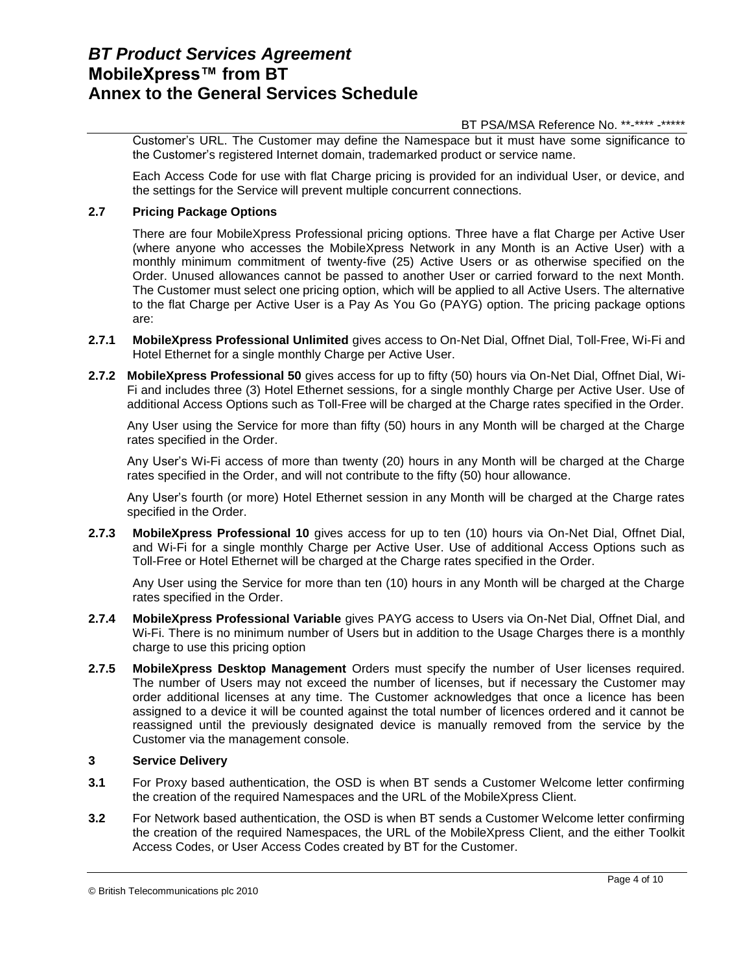BT PSA/MSA Reference No. \*\*-\*\*\*\* -\*\*\*\*\*

Customer's URL. The Customer may define the Namespace but it must have some significance to the Customer's registered Internet domain, trademarked product or service name.

Each Access Code for use with flat Charge pricing is provided for an individual User, or device, and the settings for the Service will prevent multiple concurrent connections.

## **2.7 Pricing Package Options**

There are four MobileXpress Professional pricing options. Three have a flat Charge per Active User (where anyone who accesses the MobileXpress Network in any Month is an Active User) with a monthly minimum commitment of twenty-five (25) Active Users or as otherwise specified on the Order. Unused allowances cannot be passed to another User or carried forward to the next Month. The Customer must select one pricing option, which will be applied to all Active Users. The alternative to the flat Charge per Active User is a Pay As You Go (PAYG) option. The pricing package options are:

- **2.7.1 MobileXpress Professional Unlimited** gives access to On-Net Dial, Offnet Dial, Toll-Free, Wi-Fi and Hotel Ethernet for a single monthly Charge per Active User.
- **2.7.2 MobileXpress Professional 50** gives access for up to fifty (50) hours via On-Net Dial, Offnet Dial, Wi-Fi and includes three (3) Hotel Ethernet sessions, for a single monthly Charge per Active User. Use of additional Access Options such as Toll-Free will be charged at the Charge rates specified in the Order.

Any User using the Service for more than fifty (50) hours in any Month will be charged at the Charge rates specified in the Order.

Any User's Wi-Fi access of more than twenty (20) hours in any Month will be charged at the Charge rates specified in the Order, and will not contribute to the fifty (50) hour allowance.

Any User's fourth (or more) Hotel Ethernet session in any Month will be charged at the Charge rates specified in the Order.

**2.7.3 MobileXpress Professional 10** gives access for up to ten (10) hours via On-Net Dial, Offnet Dial, and Wi-Fi for a single monthly Charge per Active User. Use of additional Access Options such as Toll-Free or Hotel Ethernet will be charged at the Charge rates specified in the Order.

Any User using the Service for more than ten (10) hours in any Month will be charged at the Charge rates specified in the Order.

- **2.7.4 MobileXpress Professional Variable** gives PAYG access to Users via On-Net Dial, Offnet Dial, and Wi-Fi. There is no minimum number of Users but in addition to the Usage Charges there is a monthly charge to use this pricing option
- **2.7.5 MobileXpress Desktop Management** Orders must specify the number of User licenses required. The number of Users may not exceed the number of licenses, but if necessary the Customer may order additional licenses at any time. The Customer acknowledges that once a licence has been assigned to a device it will be counted against the total number of licences ordered and it cannot be reassigned until the previously designated device is manually removed from the service by the Customer via the management console.

### **3 Service Delivery**

- **3.1** For Proxy based authentication, the OSD is when BT sends a Customer Welcome letter confirming the creation of the required Namespaces and the URL of the MobileXpress Client.
- **3.2** For Network based authentication, the OSD is when BT sends a Customer Welcome letter confirming the creation of the required Namespaces, the URL of the MobileXpress Client, and the either Toolkit Access Codes, or User Access Codes created by BT for the Customer.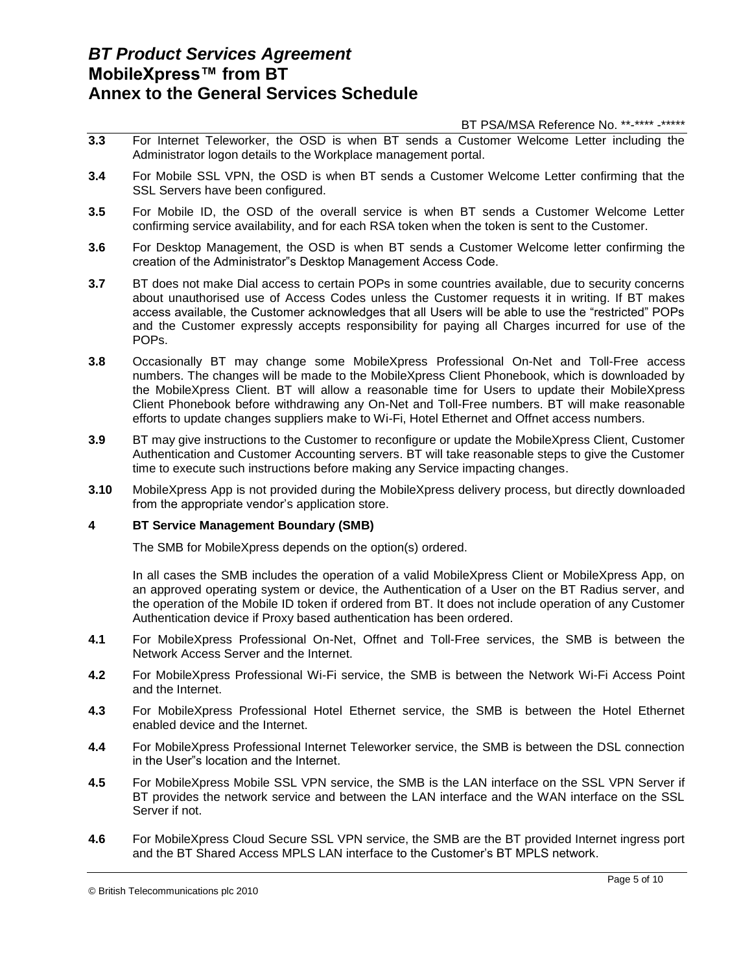BT PSA/MSA Reference No. \*\*-\*\*\*\* -\*\*\*\*\*

- **3.3** For Internet Teleworker, the OSD is when BT sends a Customer Welcome Letter including the Administrator logon details to the Workplace management portal.
- **3.4** For Mobile SSL VPN, the OSD is when BT sends a Customer Welcome Letter confirming that the SSL Servers have been configured.
- **3.5** For Mobile ID, the OSD of the overall service is when BT sends a Customer Welcome Letter confirming service availability, and for each RSA token when the token is sent to the Customer.
- **3.6** For Desktop Management, the OSD is when BT sends a Customer Welcome letter confirming the creation of the Administrator"s Desktop Management Access Code.
- **3.7** BT does not make Dial access to certain POPs in some countries available, due to security concerns about unauthorised use of Access Codes unless the Customer requests it in writing. If BT makes access available, the Customer acknowledges that all Users will be able to use the "restricted" POPs and the Customer expressly accepts responsibility for paying all Charges incurred for use of the POPs.
- **3.8** Occasionally BT may change some MobileXpress Professional On-Net and Toll-Free access numbers. The changes will be made to the MobileXpress Client Phonebook, which is downloaded by the MobileXpress Client. BT will allow a reasonable time for Users to update their MobileXpress Client Phonebook before withdrawing any On-Net and Toll-Free numbers. BT will make reasonable efforts to update changes suppliers make to Wi-Fi, Hotel Ethernet and Offnet access numbers.
- **3.9** BT may give instructions to the Customer to reconfigure or update the MobileXpress Client, Customer Authentication and Customer Accounting servers. BT will take reasonable steps to give the Customer time to execute such instructions before making any Service impacting changes.
- **3.10** MobileXpress App is not provided during the MobileXpress delivery process, but directly downloaded from the appropriate vendor's application store.

## **4 BT Service Management Boundary (SMB)**

The SMB for MobileXpress depends on the option(s) ordered.

In all cases the SMB includes the operation of a valid MobileXpress Client or MobileXpress App, on an approved operating system or device, the Authentication of a User on the BT Radius server, and the operation of the Mobile ID token if ordered from BT. It does not include operation of any Customer Authentication device if Proxy based authentication has been ordered.

- **4.1** For MobileXpress Professional On-Net, Offnet and Toll-Free services, the SMB is between the Network Access Server and the Internet.
- **4.2** For MobileXpress Professional Wi-Fi service, the SMB is between the Network Wi-Fi Access Point and the Internet.
- **4.3** For MobileXpress Professional Hotel Ethernet service, the SMB is between the Hotel Ethernet enabled device and the Internet.
- **4.4** For MobileXpress Professional Internet Teleworker service, the SMB is between the DSL connection in the User"s location and the Internet.
- **4.5** For MobileXpress Mobile SSL VPN service, the SMB is the LAN interface on the SSL VPN Server if BT provides the network service and between the LAN interface and the WAN interface on the SSL Server if not.
- **4.6** For MobileXpress Cloud Secure SSL VPN service, the SMB are the BT provided Internet ingress port and the BT Shared Access MPLS LAN interface to the Customer's BT MPLS network.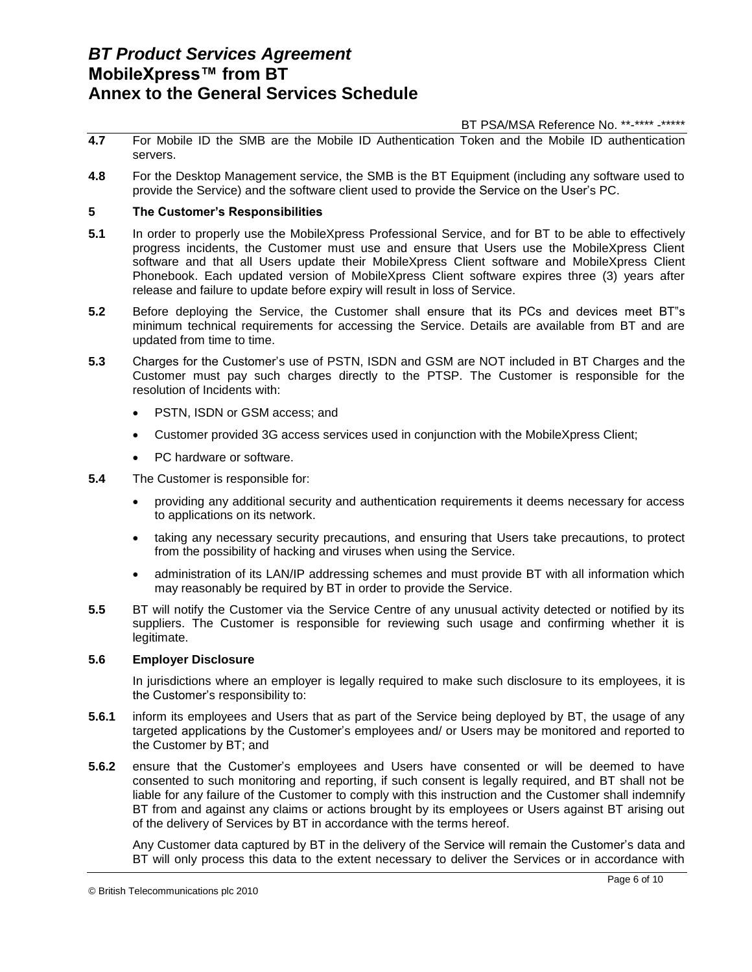BT PSA/MSA Reference No. \*\*-\*\*\*\* -\*\*\*\*\*

- **4.7** For Mobile ID the SMB are the Mobile ID Authentication Token and the Mobile ID authentication servers.
- **4.8** For the Desktop Management service, the SMB is the BT Equipment (including any software used to provide the Service) and the software client used to provide the Service on the User's PC.

## **5 The Customer's Responsibilities**

- **5.1** In order to properly use the MobileXpress Professional Service, and for BT to be able to effectively progress incidents, the Customer must use and ensure that Users use the MobileXpress Client software and that all Users update their MobileXpress Client software and MobileXpress Client Phonebook. Each updated version of MobileXpress Client software expires three (3) years after release and failure to update before expiry will result in loss of Service.
- **5.2** Before deploying the Service, the Customer shall ensure that its PCs and devices meet BT"s minimum technical requirements for accessing the Service. Details are available from BT and are updated from time to time.
- **5.3** Charges for the Customer's use of PSTN, ISDN and GSM are NOT included in BT Charges and the Customer must pay such charges directly to the PTSP. The Customer is responsible for the resolution of Incidents with:
	- PSTN, ISDN or GSM access; and
	- Customer provided 3G access services used in conjunction with the MobileXpress Client;
	- PC hardware or software.
- **5.4** The Customer is responsible for:
	- providing any additional security and authentication requirements it deems necessary for access to applications on its network.
	- taking any necessary security precautions, and ensuring that Users take precautions, to protect from the possibility of hacking and viruses when using the Service.
	- administration of its LAN/IP addressing schemes and must provide BT with all information which may reasonably be required by BT in order to provide the Service.
- **5.5** BT will notify the Customer via the Service Centre of any unusual activity detected or notified by its suppliers. The Customer is responsible for reviewing such usage and confirming whether it is legitimate.

### **5.6 Employer Disclosure**

In jurisdictions where an employer is legally required to make such disclosure to its employees, it is the Customer's responsibility to:

- **5.6.1** inform its employees and Users that as part of the Service being deployed by BT, the usage of any targeted applications by the Customer's employees and/ or Users may be monitored and reported to the Customer by BT; and
- **5.6.2** ensure that the Customer's employees and Users have consented or will be deemed to have consented to such monitoring and reporting, if such consent is legally required, and BT shall not be liable for any failure of the Customer to comply with this instruction and the Customer shall indemnify BT from and against any claims or actions brought by its employees or Users against BT arising out of the delivery of Services by BT in accordance with the terms hereof.

Any Customer data captured by BT in the delivery of the Service will remain the Customer's data and BT will only process this data to the extent necessary to deliver the Services or in accordance with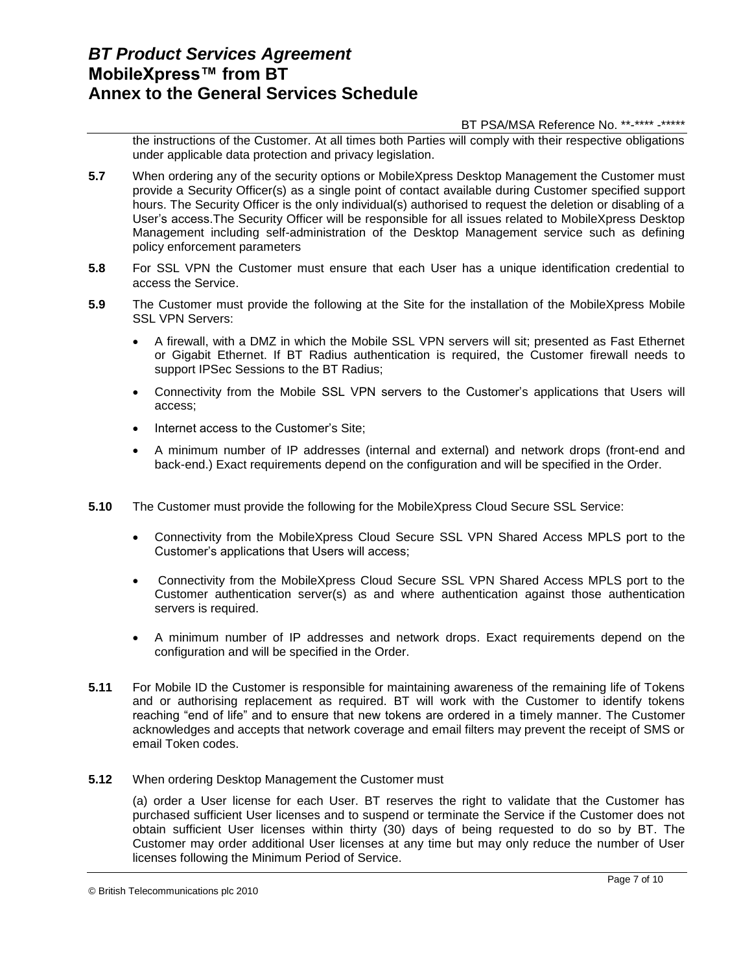#### BT PSA/MSA Reference No. \*\*-\*\*\*\* -\*\*\*\*\*

the instructions of the Customer. At all times both Parties will comply with their respective obligations under applicable data protection and privacy legislation.

- **5.7** When ordering any of the security options or MobileXpress Desktop Management the Customer must provide a Security Officer(s) as a single point of contact available during Customer specified support hours. The Security Officer is the only individual(s) authorised to request the deletion or disabling of a User's access.The Security Officer will be responsible for all issues related to MobileXpress Desktop Management including self-administration of the Desktop Management service such as defining policy enforcement parameters
- **5.8** For SSL VPN the Customer must ensure that each User has a unique identification credential to access the Service.
- **5.9** The Customer must provide the following at the Site for the installation of the MobileXpress Mobile SSL VPN Servers:
	- A firewall, with a DMZ in which the Mobile SSL VPN servers will sit; presented as Fast Ethernet or Gigabit Ethernet. If BT Radius authentication is required, the Customer firewall needs to support IPSec Sessions to the BT Radius;
	- Connectivity from the Mobile SSL VPN servers to the Customer's applications that Users will access;
	- Internet access to the Customer's Site;
	- A minimum number of IP addresses (internal and external) and network drops (front-end and back-end.) Exact requirements depend on the configuration and will be specified in the Order.
- **5.10** The Customer must provide the following for the MobileXpress Cloud Secure SSL Service:
	- Connectivity from the MobileXpress Cloud Secure SSL VPN Shared Access MPLS port to the Customer's applications that Users will access;
	- Connectivity from the MobileXpress Cloud Secure SSL VPN Shared Access MPLS port to the Customer authentication server(s) as and where authentication against those authentication servers is required.
	- A minimum number of IP addresses and network drops. Exact requirements depend on the configuration and will be specified in the Order.
- **5.11** For Mobile ID the Customer is responsible for maintaining awareness of the remaining life of Tokens and or authorising replacement as required. BT will work with the Customer to identify tokens reaching "end of life" and to ensure that new tokens are ordered in a timely manner. The Customer acknowledges and accepts that network coverage and email filters may prevent the receipt of SMS or email Token codes.
- **5.12** When ordering Desktop Management the Customer must

(a) order a User license for each User. BT reserves the right to validate that the Customer has purchased sufficient User licenses and to suspend or terminate the Service if the Customer does not obtain sufficient User licenses within thirty (30) days of being requested to do so by BT. The Customer may order additional User licenses at any time but may only reduce the number of User licenses following the Minimum Period of Service.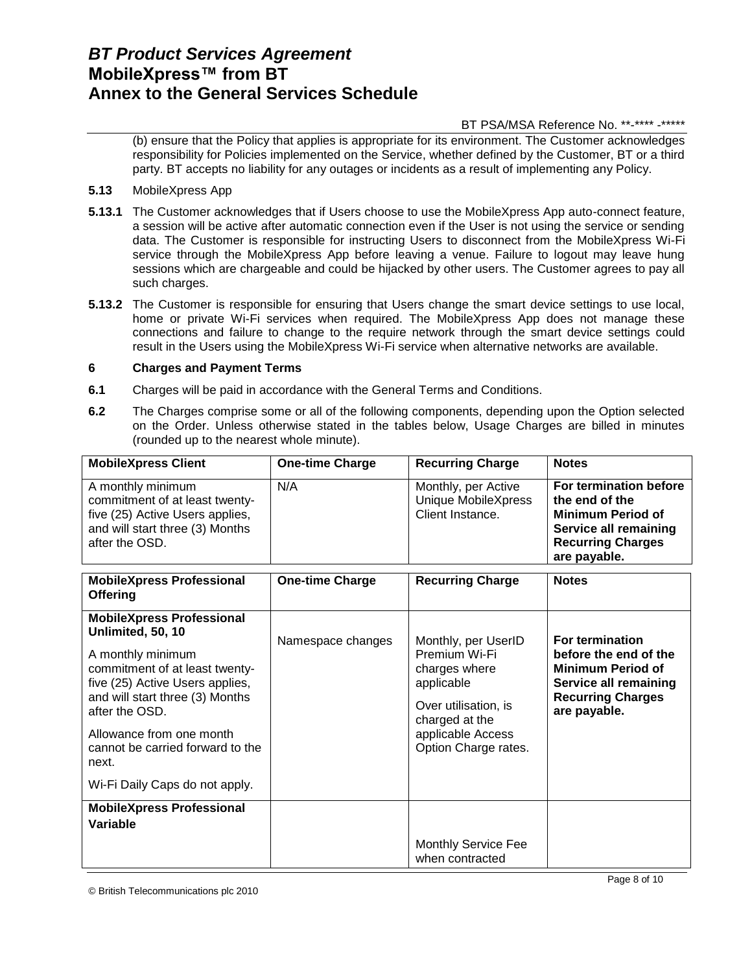## BT PSA/MSA Reference No. \*\*-\*\*\*\* -\*\*\*\*\*

(b) ensure that the Policy that applies is appropriate for its environment. The Customer acknowledges responsibility for Policies implemented on the Service, whether defined by the Customer, BT or a third party. BT accepts no liability for any outages or incidents as a result of implementing any Policy.

- **5.13** MobileXpress App
- **5.13.1** The Customer acknowledges that if Users choose to use the MobileXpress App auto-connect feature, a session will be active after automatic connection even if the User is not using the service or sending data. The Customer is responsible for instructing Users to disconnect from the MobileXpress Wi-Fi service through the MobileXpress App before leaving a venue. Failure to logout may leave hung sessions which are chargeable and could be hijacked by other users. The Customer agrees to pay all such charges.
- **5.13.2** The Customer is responsible for ensuring that Users change the smart device settings to use local, home or private Wi-Fi services when required. The MobileXpress App does not manage these connections and failure to change to the require network through the smart device settings could result in the Users using the MobileXpress Wi-Fi service when alternative networks are available.

## **6 Charges and Payment Terms**

- **6.1** Charges will be paid in accordance with the General Terms and Conditions.
- **6.2** The Charges comprise some or all of the following components, depending upon the Option selected on the Order. Unless otherwise stated in the tables below, Usage Charges are billed in minutes (rounded up to the nearest whole minute).

| <b>MobileXpress Client</b>                                                                                                                  | <b>One-time Charge</b> | <b>Recurring Charge</b>                                                                                                             | <b>Notes</b>                                                                                                                                     |
|---------------------------------------------------------------------------------------------------------------------------------------------|------------------------|-------------------------------------------------------------------------------------------------------------------------------------|--------------------------------------------------------------------------------------------------------------------------------------------------|
| A monthly minimum<br>commitment of at least twenty-<br>five (25) Active Users applies,<br>and will start three (3) Months<br>after the OSD. | N/A                    | Monthly, per Active<br><b>Unique MobileXpress</b><br>Client Instance.                                                               | For termination before<br>the end of the<br><b>Minimum Period of</b><br><b>Service all remaining</b><br><b>Recurring Charges</b><br>are payable. |
| <b>MobileXpress Professional</b><br><b>Offering</b>                                                                                         | <b>One-time Charge</b> | <b>Recurring Charge</b>                                                                                                             | <b>Notes</b>                                                                                                                                     |
| <b>MobileXpress Professional</b><br>Unlimited, 50, 10                                                                                       | Namespace changes      | Monthly, per UserID                                                                                                                 | For termination                                                                                                                                  |
| A monthly minimum<br>commitment of at least twenty-<br>five (25) Active Users applies,<br>and will start three (3) Months<br>after the OSD. |                        | Premium Wi-Fi<br>charges where<br>applicable<br>Over utilisation, is<br>charged at the<br>applicable Access<br>Option Charge rates. | before the end of the<br><b>Minimum Period of</b><br>Service all remaining<br><b>Recurring Charges</b><br>are payable.                           |
| Allowance from one month<br>cannot be carried forward to the<br>next.                                                                       |                        |                                                                                                                                     |                                                                                                                                                  |
| Wi-Fi Daily Caps do not apply.                                                                                                              |                        |                                                                                                                                     |                                                                                                                                                  |
| <b>MobileXpress Professional</b>                                                                                                            |                        |                                                                                                                                     |                                                                                                                                                  |
| Variable                                                                                                                                    |                        |                                                                                                                                     |                                                                                                                                                  |
|                                                                                                                                             |                        | <b>Monthly Service Fee</b><br>when contracted                                                                                       |                                                                                                                                                  |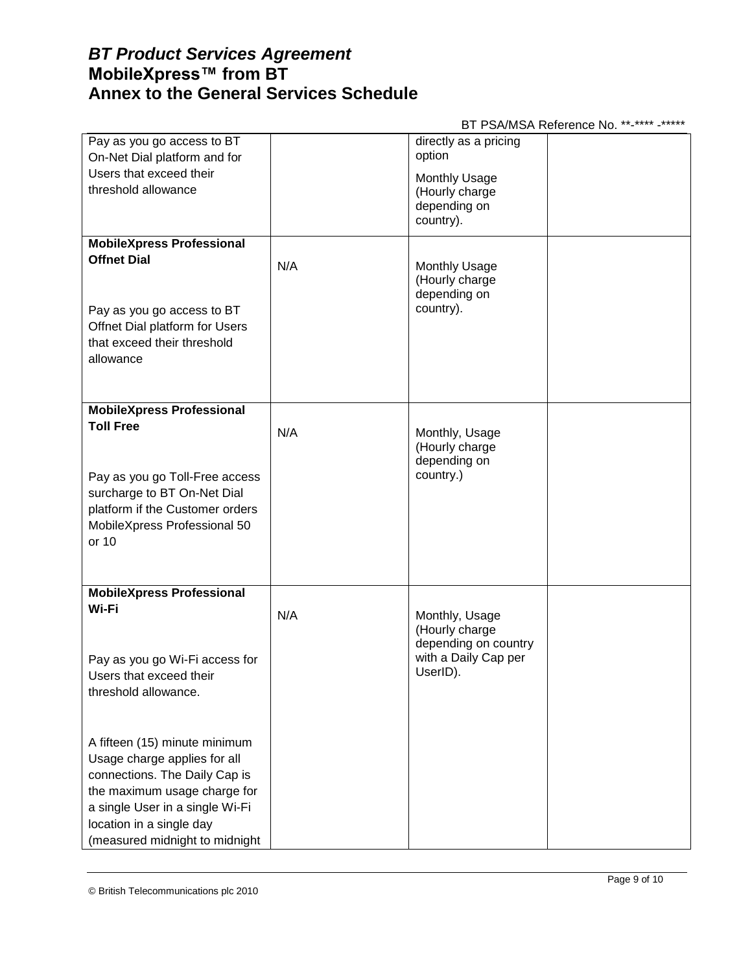## BT PSA/MSA Reference No. \*\*-\*\*\*\* -\*\*\*\*\*

| Pay as you go access to BT<br>On-Net Dial platform and for     |     | directly as a pricing<br>option                        |  |
|----------------------------------------------------------------|-----|--------------------------------------------------------|--|
| Users that exceed their                                        |     | <b>Monthly Usage</b>                                   |  |
| threshold allowance                                            |     | (Hourly charge<br>depending on                         |  |
|                                                                |     | country).                                              |  |
| <b>MobileXpress Professional</b>                               |     |                                                        |  |
| <b>Offnet Dial</b>                                             | N/A | <b>Monthly Usage</b><br>(Hourly charge<br>depending on |  |
| Pay as you go access to BT                                     |     | country).                                              |  |
| Offnet Dial platform for Users<br>that exceed their threshold  |     |                                                        |  |
| allowance                                                      |     |                                                        |  |
|                                                                |     |                                                        |  |
| <b>MobileXpress Professional</b>                               |     |                                                        |  |
| <b>Toll Free</b>                                               | N/A | Monthly, Usage<br>(Hourly charge                       |  |
|                                                                |     | depending on                                           |  |
| Pay as you go Toll-Free access                                 |     | country.)                                              |  |
| surcharge to BT On-Net Dial<br>platform if the Customer orders |     |                                                        |  |
| MobileXpress Professional 50                                   |     |                                                        |  |
| or 10                                                          |     |                                                        |  |
|                                                                |     |                                                        |  |
| <b>MobileXpress Professional</b><br>Wi-Fi                      |     |                                                        |  |
|                                                                | N/A | Monthly, Usage<br>(Hourly charge                       |  |
|                                                                |     | depending on country                                   |  |
| Pay as you go Wi-Fi access for<br>Users that exceed their      |     | with a Daily Cap per<br>UserID).                       |  |
| threshold allowance.                                           |     |                                                        |  |
|                                                                |     |                                                        |  |
| A fifteen (15) minute minimum                                  |     |                                                        |  |
| Usage charge applies for all                                   |     |                                                        |  |
| connections. The Daily Cap is<br>the maximum usage charge for  |     |                                                        |  |
| a single User in a single Wi-Fi                                |     |                                                        |  |
| location in a single day                                       |     |                                                        |  |
| (measured midnight to midnight                                 |     |                                                        |  |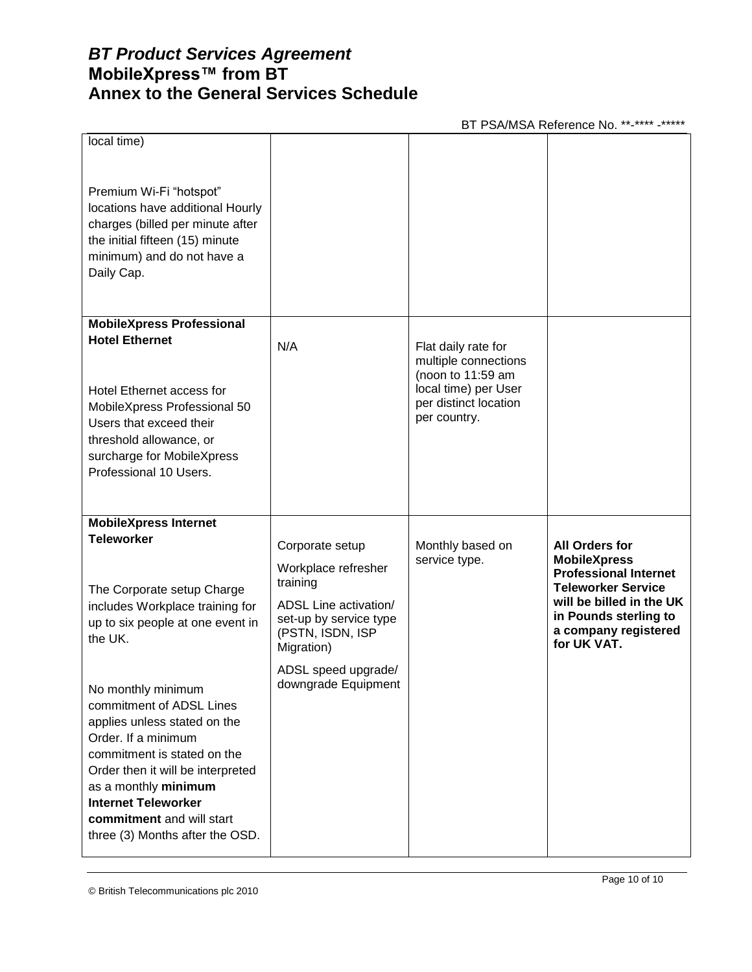BT PSA/MSA Reference No. \*\*-\*\*\*\* -\*\*\*\*\*

| local time)<br>Premium Wi-Fi "hotspot"<br>locations have additional Hourly<br>charges (billed per minute after<br>the initial fifteen (15) minute<br>minimum) and do not have a<br>Daily Cap.                                                                                                                                                                                                                                                                        |                                                                                                                                                                                       |                                                                                                                                   |                                                                                                                                                                                                       |
|----------------------------------------------------------------------------------------------------------------------------------------------------------------------------------------------------------------------------------------------------------------------------------------------------------------------------------------------------------------------------------------------------------------------------------------------------------------------|---------------------------------------------------------------------------------------------------------------------------------------------------------------------------------------|-----------------------------------------------------------------------------------------------------------------------------------|-------------------------------------------------------------------------------------------------------------------------------------------------------------------------------------------------------|
| <b>MobileXpress Professional</b><br><b>Hotel Ethernet</b><br>Hotel Ethernet access for<br>MobileXpress Professional 50<br>Users that exceed their<br>threshold allowance, or<br>surcharge for MobileXpress<br>Professional 10 Users.                                                                                                                                                                                                                                 | N/A                                                                                                                                                                                   | Flat daily rate for<br>multiple connections<br>(noon to 11:59 am<br>local time) per User<br>per distinct location<br>per country. |                                                                                                                                                                                                       |
| <b>MobileXpress Internet</b><br><b>Teleworker</b><br>The Corporate setup Charge<br>includes Workplace training for<br>up to six people at one event in<br>the UK.<br>No monthly minimum<br>commitment of ADSL Lines<br>applies unless stated on the<br>Order. If a minimum<br>commitment is stated on the<br>Order then it will be interpreted<br>as a monthly minimum<br><b>Internet Teleworker</b><br>commitment and will start<br>three (3) Months after the OSD. | Corporate setup<br>Workplace refresher<br>training<br>ADSL Line activation/<br>set-up by service type<br>(PSTN, ISDN, ISP<br>Migration)<br>ADSL speed upgrade/<br>downgrade Equipment | Monthly based on<br>service type.                                                                                                 | <b>All Orders for</b><br><b>MobileXpress</b><br><b>Professional Internet</b><br><b>Teleworker Service</b><br>will be billed in the UK<br>in Pounds sterling to<br>a company registered<br>for UK VAT. |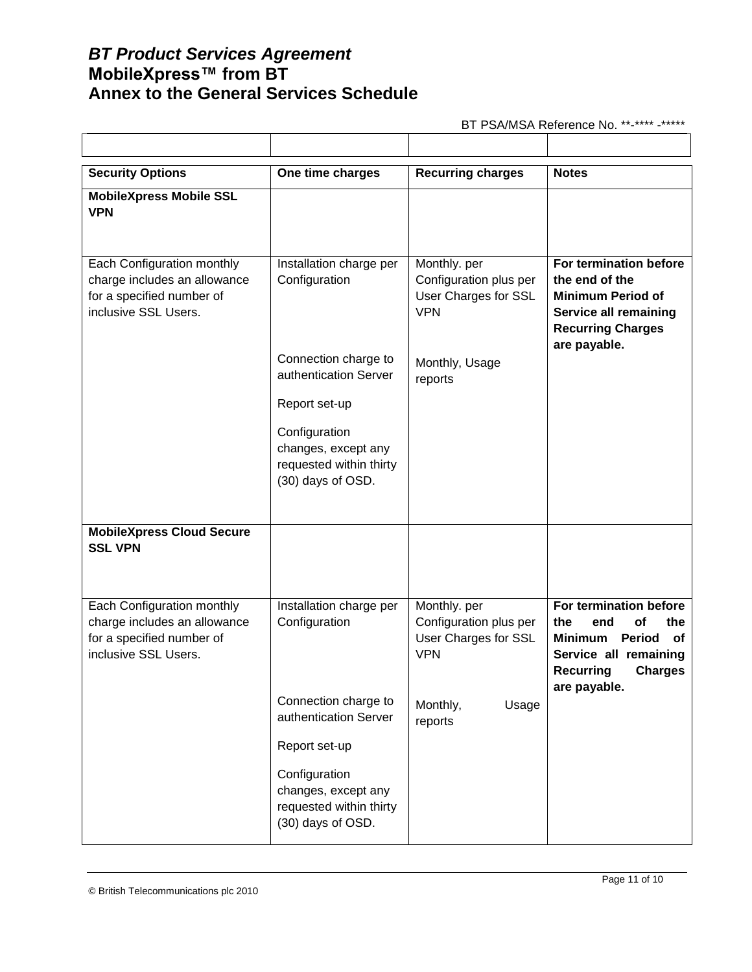BT PSA/MSA Reference No. \*\*-\*\*\*\* -\*\*\*\*\*

| <b>Security Options</b>                                                                                                | One time charges                                                                                                                                       | <b>Recurring charges</b>                                                     | <b>Notes</b>                                                                                                                                                       |
|------------------------------------------------------------------------------------------------------------------------|--------------------------------------------------------------------------------------------------------------------------------------------------------|------------------------------------------------------------------------------|--------------------------------------------------------------------------------------------------------------------------------------------------------------------|
| <b>MobileXpress Mobile SSL</b><br><b>VPN</b>                                                                           |                                                                                                                                                        |                                                                              |                                                                                                                                                                    |
| <b>Each Configuration monthly</b><br>charge includes an allowance<br>for a specified number of<br>inclusive SSL Users. | Installation charge per<br>Configuration                                                                                                               | Monthly. per<br>Configuration plus per<br>User Charges for SSL<br><b>VPN</b> | For termination before<br>the end of the<br><b>Minimum Period of</b><br><b>Service all remaining</b><br><b>Recurring Charges</b><br>are payable.                   |
|                                                                                                                        | Connection charge to<br>authentication Server<br>Report set-up<br>Configuration<br>changes, except any<br>requested within thirty<br>(30) days of OSD. | Monthly, Usage<br>reports                                                    |                                                                                                                                                                    |
|                                                                                                                        |                                                                                                                                                        |                                                                              |                                                                                                                                                                    |
| <b>MobileXpress Cloud Secure</b><br><b>SSL VPN</b>                                                                     |                                                                                                                                                        |                                                                              |                                                                                                                                                                    |
| Each Configuration monthly<br>charge includes an allowance<br>for a specified number of<br>inclusive SSL Users.        | Installation charge per<br>Configuration                                                                                                               | Monthly. per<br>Configuration plus per<br>User Charges for SSL<br><b>VPN</b> | For termination before<br>the<br>the<br>end<br>οf<br>Period<br><b>Minimum</b><br>оf<br>Service all remaining<br><b>Recurring</b><br><b>Charges</b><br>are payable. |
|                                                                                                                        | Connection charge to<br>authentication Server                                                                                                          | Monthly,<br>Usage<br>reports                                                 |                                                                                                                                                                    |
|                                                                                                                        | Report set-up<br>Configuration<br>changes, except any<br>requested within thirty<br>(30) days of OSD.                                                  |                                                                              |                                                                                                                                                                    |